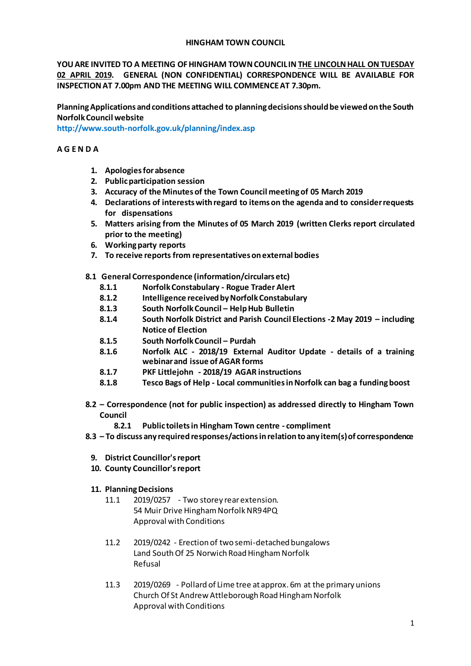## **HINGHAM TOWN COUNCIL**

**YOU ARE INVITED TO A MEETING OF HINGHAM TOWN COUNCIL IN THE LINCOLN HALL ON TUESDAY 02 APRIL 2019. GENERAL (NON CONFIDENTIAL) CORRESPONDENCE WILL BE AVAILABLE FOR INSPECTION AT 7.00pm AND THE MEETING WILL COMMENCE AT 7.30pm.** 

**Planning Applications and conditions attached to planning decisions should be viewed on the South Norfolk Council website** 

**<http://www.south-norfolk.gov.uk/planning/index.asp>**

# **A G E N D A**

- **1. Apologies for absence**
- **2. Public participation session**
- **3. Accuracy of the Minutes of the Town Council meeting of 05 March 2019**
- **4. Declarations of interests with regard to items on the agenda and to consider requests for dispensations**
- **5. Matters arising from the Minutes of 05 March 2019 (written Clerks report circulated prior to the meeting)**
- **6. Working party reports**
- **7. To receive reports from representatives on external bodies**
- **8.1 General Correspondence (information/circulars etc)**
	- **8.1.1 Norfolk Constabulary - Rogue Trader Alert**
	- **8.1.2 Intelligence received by Norfolk Constabulary**
	- **8.1.3 South Norfolk Council – Help Hub Bulletin**
	- **8.1.4 South Norfolk District and Parish Council Elections -2 May 2019 – including Notice of Election**
	- **8.1.5 South Norfolk Council – Purdah**
	- **8.1.6 Norfolk ALC - 2018/19 External Auditor Update - details of a training webinar and issue of AGAR forms**
	- **8.1.7 PKF Littlejohn - 2018/19 AGAR instructions**
	- **8.1.8 Tesco Bags of Help - Local communities in Norfolk can bag a funding boost**
- **8.2 – Correspondence (not for public inspection) as addressed directly to Hingham Town Council**
	- **8.2.1 Public toilets in Hingham Town centre - compliment**
- **8.3 – To discuss any required responses/actions in relation to any item(s) of correspondence** 
	- **9. District Councillor's report**
	- **10. County Councillor's report**
	- **11. Planning Decisions**
		- 11.1 2019/0257 Two storey rear extension. 54 Muir Drive Hingham Norfolk NR9 4PQ Approval with Conditions
		- 11.2 2019/0242 Erection of two semi-detached bungalows Land South Of 25 Norwich Road Hingham Norfolk Refusal
		- 11.3 2019/0269 Pollard of Lime tree at approx. 6m at the primary unions Church Of St Andrew Attleborough Road Hingham Norfolk Approval with Conditions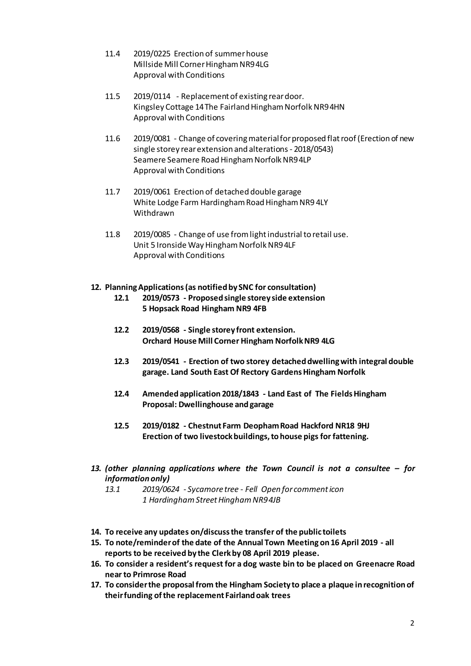- 11.4 2019/0225 Erection of summer house Millside Mill Corner Hingham NR9 4LG Approval with Conditions
- 11.5 2019/0114 Replacement of existing rear door. Kingsley Cottage 14 The Fairland Hingham Norfolk NR9 4HN Approval with Conditions
- 11.6 2019/0081 Change of covering material for proposed flat roof (Erection of new single storey rear extension and alterations - 2018/0543) Seamere Seamere Road Hingham Norfolk NR9 4LP Approval with Conditions
- 11.7 2019/0061 Erection of detached double garage White Lodge Farm Hardingham Road Hingham NR9 4LY Withdrawn
- 11.8 2019/0085 Change of use from light industrial to retail use. Unit 5 Ironside Way Hingham Norfolk NR9 4LF Approval with Conditions

# **12. Planning Applications (as notified by SNC for consultation)**

- **12.1 2019/0573 - Proposed single storey side extension 5 Hopsack Road Hingham NR9 4FB**
- **12.2 2019/0568 - Single storey front extension. Orchard House Mill Corner Hingham Norfolk NR9 4LG**
- **12.3 2019/0541 - Erection of two storey detached dwelling with integral double garage. Land South East Of Rectory Gardens Hingham Norfolk**
- **12.4 Amended application 2018/1843 - Land East of The Fields Hingham Proposal: Dwellinghouse and garage**
- **12.5 2019/0182 - Chestnut Farm Deopham Road Hackford NR18 9HJ Erection of two livestock buildings, to house pigs for fattening.**
- *13. (other planning applications where the Town Council is not a consultee – for information only)*

*13.1 2019/0624 - Sycamore tree - Fell Open for comment icon 1 Hardingham Street Hingham NR9 4JB*

- **14. To receive any updates on/discuss the transfer of the public toilets**
- **15. To note/reminder of the date of the Annual Town Meeting on16 April 2019 - all reports to be received by the Clerk by 08 April 2019 please.**
- **16. To consider a resident's request for a dog waste bin to be placed on Greenacre Road near to Primrose Road**
- **17. To consider the proposal from the Hingham Society to place a plaque in recognition of their funding of the replacement Fairland oak trees**